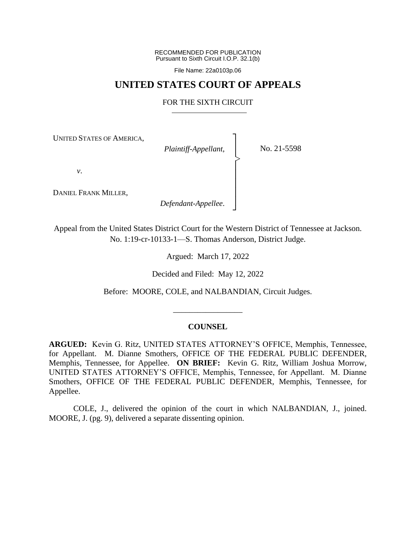RECOMMENDED FOR PUBLICATION Pursuant to Sixth Circuit I.O.P. 32.1(b)

File Name: 22a0103p.06

### **UNITED STATES COURT OF APPEALS**

#### FOR THE SIXTH CIRCUIT

┐ │ │ │ │ │ │ │ ┘

|<br>|<br>|

UNITED STATES OF AMERICA,

*Plaintiff-Appellant*,

No. 21-5598

*v*.

DANIEL FRANK MILLER,

*Defendant-Appellee*.

Appeal from the United States District Court for the Western District of Tennessee at Jackson. No. 1:19-cr-10133-1—S. Thomas Anderson, District Judge.

Argued: March 17, 2022

Decided and Filed: May 12, 2022

Before: MOORE, COLE, and NALBANDIAN, Circuit Judges.

#### **COUNSEL**

\_\_\_\_\_\_\_\_\_\_\_\_\_\_\_\_\_

**ARGUED:** Kevin G. Ritz, UNITED STATES ATTORNEY'S OFFICE, Memphis, Tennessee, for Appellant. M. Dianne Smothers, OFFICE OF THE FEDERAL PUBLIC DEFENDER, Memphis, Tennessee, for Appellee. **ON BRIEF:** Kevin G. Ritz, William Joshua Morrow, UNITED STATES ATTORNEY'S OFFICE, Memphis, Tennessee, for Appellant. M. Dianne Smothers, OFFICE OF THE FEDERAL PUBLIC DEFENDER, Memphis, Tennessee, for Appellee.

COLE, J., delivered the opinion of the court in which NALBANDIAN, J., joined. MOORE, J. (pg. 9), delivered a separate dissenting opinion.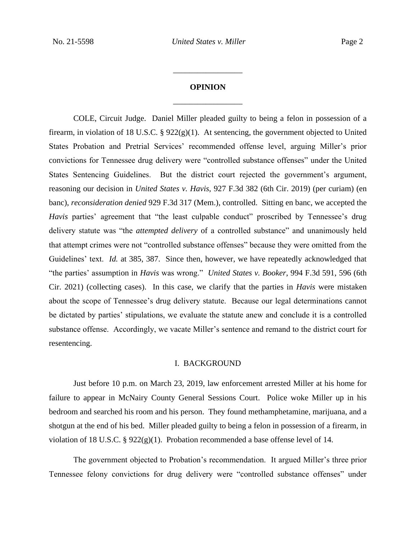# **OPINION** \_\_\_\_\_\_\_\_\_\_\_\_\_\_\_\_\_

\_\_\_\_\_\_\_\_\_\_\_\_\_\_\_\_\_

COLE, Circuit Judge. Daniel Miller pleaded guilty to being a felon in possession of a firearm, in violation of 18 U.S.C.  $\S 922(g)(1)$ . At sentencing, the government objected to United States Probation and Pretrial Services' recommended offense level, arguing Miller's prior convictions for Tennessee drug delivery were "controlled substance offenses" under the United States Sentencing Guidelines. But the district court rejected the government's argument, reasoning our decision in *United States v. Havis*, 927 F.3d 382 (6th Cir. 2019) (per curiam) (en banc), *reconsideration denied* 929 F.3d 317 (Mem.), controlled. Sitting en banc, we accepted the *Havis* parties' agreement that "the least culpable conduct" proscribed by Tennessee's drug delivery statute was "the *attempted delivery* of a controlled substance" and unanimously held that attempt crimes were not "controlled substance offenses" because they were omitted from the Guidelines' text. *Id.* at 385, 387. Since then, however, we have repeatedly acknowledged that "the parties' assumption in *Havis* was wrong." *United States v. Booker*, 994 F.3d 591, 596 (6th Cir. 2021) (collecting cases). In this case, we clarify that the parties in *Havis* were mistaken about the scope of Tennessee's drug delivery statute. Because our legal determinations cannot be dictated by parties' stipulations, we evaluate the statute anew and conclude it is a controlled substance offense. Accordingly, we vacate Miller's sentence and remand to the district court for resentencing.

#### I. BACKGROUND

Just before 10 p.m. on March 23, 2019, law enforcement arrested Miller at his home for failure to appear in McNairy County General Sessions Court. Police woke Miller up in his bedroom and searched his room and his person. They found methamphetamine, marijuana, and a shotgun at the end of his bed. Miller pleaded guilty to being a felon in possession of a firearm, in violation of 18 U.S.C. § 922(g)(1). Probation recommended a base offense level of 14.

The government objected to Probation's recommendation. It argued Miller's three prior Tennessee felony convictions for drug delivery were "controlled substance offenses" under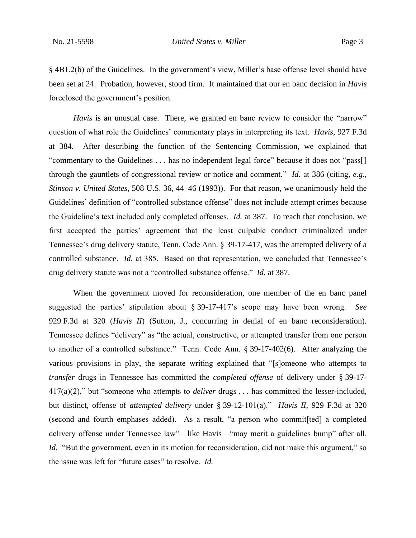§ 4B1.2(b) of the Guidelines. In the government's view, Miller's base offense level should have been set at 24. Probation, however, stood firm. It maintained that our en banc decision in *Havis* foreclosed the government's position.

*Havis* is an unusual case. There, we granted en banc review to consider the "narrow" question of what role the Guidelines' commentary plays in interpreting its text. *Havis*, 927 F.3d at 384. After describing the function of the Sentencing Commission, we explained that "commentary to the Guidelines . . . has no independent legal force" because it does not "pass[] through the gauntlets of congressional review or notice and comment." *Id.* at 386 (citing, *e.g.*, *Stinson v. United States*, 508 U.S. 36, 44–46 (1993)). For that reason, we unanimously held the Guidelines' definition of "controlled substance offense" does not include attempt crimes because the Guideline's text included only completed offenses. *Id.* at 387. To reach that conclusion, we first accepted the parties' agreement that the least culpable conduct criminalized under Tennessee's drug delivery statute, Tenn. Code Ann. § 39-17-417, was the attempted delivery of a controlled substance. *Id.* at 385. Based on that representation, we concluded that Tennessee's drug delivery statute was not a "controlled substance offense." *Id.* at 387.

When the government moved for reconsideration, one member of the en banc panel suggested the parties' stipulation about § 39-17-417's scope may have been wrong. *See* 929 F.3d at 320 (*Havis II*) (Sutton, J., concurring in denial of en banc reconsideration). Tennessee defines "delivery" as "the actual, constructive, or attempted transfer from one person to another of a controlled substance." Tenn. Code Ann. § 39-17-402(6). After analyzing the various provisions in play, the separate writing explained that "[s]omeone who attempts to *transfer* drugs in Tennessee has committed the *completed offense* of delivery under § 39-17- 417(a)(2)," but "someone who attempts to *deliver* drugs . . . has committed the lesser-included, but distinct, offense of *attempted delivery* under § 39-12-101(a)." *Havis II*, 929 F.3d at 320 (second and fourth emphases added). As a result, "a person who commit[ted] a completed delivery offense under Tennessee law"—like Havis—"may merit a guidelines bump" after all. *Id.* "But the government, even in its motion for reconsideration, did not make this argument," so the issue was left for "future cases" to resolve. *Id.*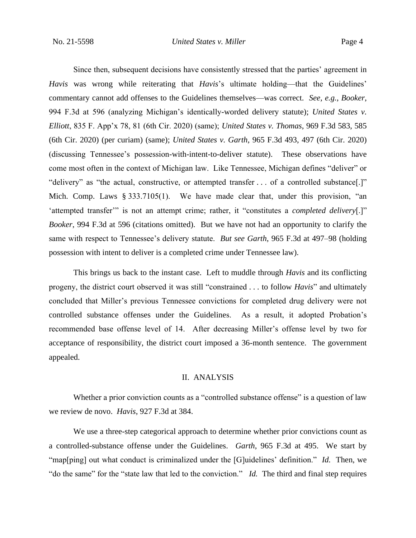Since then, subsequent decisions have consistently stressed that the parties' agreement in *Havis* was wrong while reiterating that *Havis*'s ultimate holding—that the Guidelines' commentary cannot add offenses to the Guidelines themselves—was correct. *See, e.g.*, *Booker*, 994 F.3d at 596 (analyzing Michigan's identically-worded delivery statute); *United States v. Elliott*, 835 F. App'x 78, 81 (6th Cir. 2020) (same); *United States v. Thomas*, 969 F.3d 583, 585 (6th Cir. 2020) (per curiam) (same); *United States v. Garth*, 965 F.3d 493, 497 (6th Cir. 2020) (discussing Tennessee's possession-with-intent-to-deliver statute). These observations have come most often in the context of Michigan law. Like Tennessee, Michigan defines "deliver" or "delivery" as "the actual, constructive, or attempted transfer . . . of a controlled substance[.]" Mich. Comp. Laws § 333.7105(1). We have made clear that, under this provision, "an 'attempted transfer'" is not an attempt crime; rather, it "constitutes a *completed delivery*[.]" *Booker*, 994 F.3d at 596 (citations omitted). But we have not had an opportunity to clarify the same with respect to Tennessee's delivery statute. *But see Garth*, 965 F.3d at 497–98 (holding possession with intent to deliver is a completed crime under Tennessee law).

This brings us back to the instant case. Left to muddle through *Havis* and its conflicting progeny, the district court observed it was still "constrained . . . to follow *Havis*" and ultimately concluded that Miller's previous Tennessee convictions for completed drug delivery were not controlled substance offenses under the Guidelines. As a result, it adopted Probation's recommended base offense level of 14. After decreasing Miller's offense level by two for acceptance of responsibility, the district court imposed a 36-month sentence. The government appealed.

### II. ANALYSIS

Whether a prior conviction counts as a "controlled substance offense" is a question of law we review de novo. *Havis*, 927 F.3d at 384.

We use a three-step categorical approach to determine whether prior convictions count as a controlled-substance offense under the Guidelines. *Garth*, 965 F.3d at 495. We start by "map[ping] out what conduct is criminalized under the [G]uidelines' definition." *Id.* Then, we "do the same" for the "state law that led to the conviction." *Id.* The third and final step requires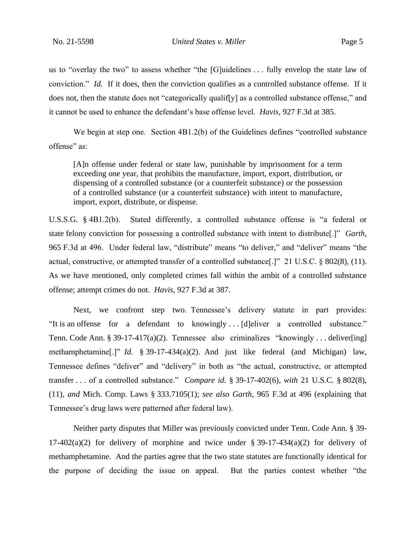us to "overlay the two" to assess whether "the [G]uidelines . . . fully envelop the state law of conviction." *Id.* If it does, then the conviction qualifies as a controlled substance offense. If it does not, then the statute does not "categorically qualif<sup>[y]</sup> as a controlled substance offense," and it cannot be used to enhance the defendant's base offense level. *Havis*, 927 F.3d at 385.

We begin at step one. Section 4B1.2(b) of the Guidelines defines "controlled substance offense" as:

[A]n offense under federal or state law, punishable by imprisonment for a term exceeding one year, that prohibits the manufacture, import, export, distribution, or dispensing of a controlled substance (or a counterfeit substance) or the possession of a controlled substance (or a counterfeit substance) with intent to manufacture, import, export, distribute, or dispense.

U.S.S.G. § 4B1.2(b). Stated differently, a controlled substance offense is "a federal or state felony conviction for possessing a controlled substance with intent to distribute[.]" *Garth*, 965 F.3d at 496. Under federal law, "distribute" means "to deliver," and "deliver" means "the actual, constructive, or attempted transfer of a controlled substance[.]" 21 U.S.C. § 802(8), (11). As we have mentioned, only completed crimes fall within the ambit of a controlled substance offense; attempt crimes do not. *Havis*, 927 F.3d at 387.

Next, we confront step two. Tennessee's delivery statute in part provides: "It is an offense for a defendant to knowingly . . . [d]eliver a controlled substance." Tenn. Code Ann. § 39-17-417(a)(2). Tennessee also criminalizes "knowingly . . . deliver[ing] methamphetamine[.]" *Id.* § 39-17-434(a)(2). And just like federal (and Michigan) law, Tennessee defines "deliver" and "delivery" in both as "the actual, constructive, or attempted transfer . . . of a controlled substance." *Compare id.* § 39-17-402(6), *with* 21 U.S.C. § 802(8), (11), *and* Mich. Comp. Laws § 333.7105(1); *see also Garth*, 965 F.3d at 496 (explaining that Tennessee's drug laws were patterned after federal law).

Neither party disputes that Miller was previously convicted under Tenn. Code Ann. § 39-  $17-402(a)(2)$  for delivery of morphine and twice under § 39-17-434(a)(2) for delivery of methamphetamine. And the parties agree that the two state statutes are functionally identical for the purpose of deciding the issue on appeal. But the parties contest whether "the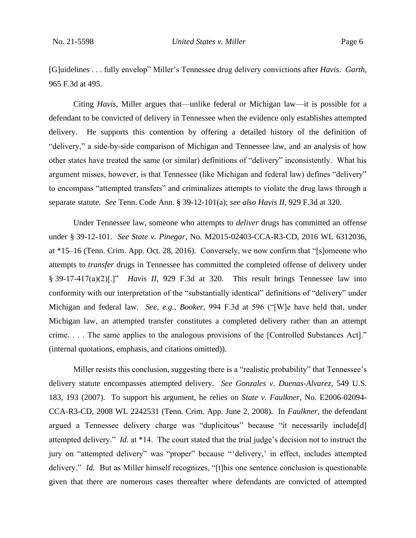[G]uidelines . . . fully envelop" Miller's Tennessee drug delivery convictions after *Havis*. *Garth*, 965 F.3d at 495.

Citing *Havis*, Miller argues that—unlike federal or Michigan law—it is possible for a defendant to be convicted of delivery in Tennessee when the evidence only establishes attempted delivery. He supports this contention by offering a detailed history of the definition of "delivery," a side-by-side comparison of Michigan and Tennessee law, and an analysis of how other states have treated the same (or similar) definitions of "delivery" inconsistently. What his argument misses, however, is that Tennessee (like Michigan and federal law) defines "delivery" to encompass "attempted transfers" and criminalizes attempts to violate the drug laws through a separate statute. *See* Tenn. Code Ann. § 39-12-101(a); *see also Havis II*, 929 F.3d at 320.

Under Tennessee law, someone who attempts to *deliver* drugs has committed an offense under § 39-12-101. *See State v. Pinegar*, No. M2015-02403-CCA-R3-CD, 2016 WL 6312036, at \*15–16 (Tenn. Crim. App. Oct. 28, 2016). Conversely, we now confirm that "[s]omeone who attempts to *transfer* drugs in Tennessee has committed the completed offense of delivery under § 39-17-417(a)(2)[.]" *Havis II*, 929 F.3d at 320. This result brings Tennessee law into conformity with our interpretation of the "substantially identical" definitions of "delivery" under Michigan and federal law. *See, e.g.*, *Booker*, 994 F.3d at 596 ("[W]e have held that, under Michigan law, an attempted transfer constitutes a completed delivery rather than an attempt crime. . . . The same applies to the analogous provisions of the [Controlled Substances Act]." (internal quotations, emphasis, and citations omitted)).

Miller resists this conclusion, suggesting there is a "realistic probability" that Tennessee's delivery statute encompasses attempted delivery. *See Gonzales v. Duenas-Alvarez*, 549 U.S. 183, 193 (2007). To support his argument, he relies on *State v. Faulkner*, No. E2006-02094- CCA-R3-CD, 2008 WL 2242531 (Tenn. Crim. App. June 2, 2008). In *Faulkner*, the defendant argued a Tennessee delivery charge was "duplicitous" because "it necessarily include[d] attempted delivery." *Id.* at \*14. The court stated that the trial judge's decision not to instruct the jury on "attempted delivery" was "proper" because "'delivery,' in effect, includes attempted delivery." *Id.* But as Miller himself recognizes, "[t]his one sentence conclusion is questionable given that there are numerous cases thereafter where defendants are convicted of attempted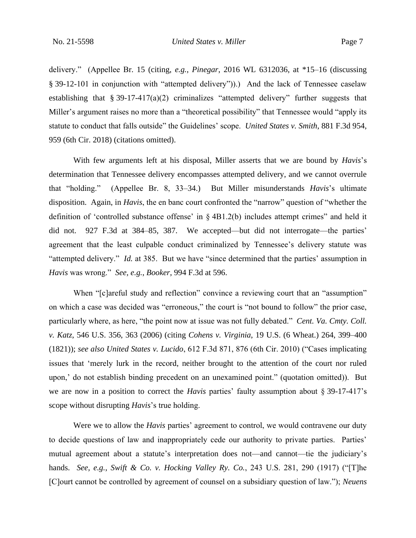delivery." (Appellee Br. 15 (citing, *e.g.*, *Pinegar*, 2016 WL 6312036, at \*15–16 (discussing § 39-12-101 in conjunction with "attempted delivery")).) And the lack of Tennessee caselaw establishing that § 39-17-417(a)(2) criminalizes "attempted delivery" further suggests that Miller's argument raises no more than a "theoretical possibility" that Tennessee would "apply its statute to conduct that falls outside" the Guidelines' scope. *United States v. Smith*, 881 F.3d 954, 959 (6th Cir. 2018) (citations omitted).

With few arguments left at his disposal, Miller asserts that we are bound by *Havis*'s determination that Tennessee delivery encompasses attempted delivery, and we cannot overrule that "holding." (Appellee Br. 8, 33–34.) But Miller misunderstands *Havis*'s ultimate disposition. Again, in *Havis*, the en banc court confronted the "narrow" question of "whether the definition of 'controlled substance offense' in § 4B1.2(b) includes attempt crimes" and held it did not. 927 F.3d at 384–85, 387. We accepted—but did not interrogate—the parties' agreement that the least culpable conduct criminalized by Tennessee's delivery statute was "attempted delivery." *Id.* at 385. But we have "since determined that the parties' assumption in *Havis* was wrong." *See, e.g.*, *Booker*, 994 F.3d at 596.

When "[c]areful study and reflection" convince a reviewing court that an "assumption" on which a case was decided was "erroneous," the court is "not bound to follow" the prior case, particularly where, as here, "the point now at issue was not fully debated." *Cent. Va. Cmty. Coll. v. Katz*, 546 U.S. 356, 363 (2006) (citing *Cohens v. Virginia*, 19 U.S. (6 Wheat.) 264, 399–400 (1821)); *see also United States v. Lucido*, 612 F.3d 871, 876 (6th Cir. 2010) ("Cases implicating issues that 'merely lurk in the record, neither brought to the attention of the court nor ruled upon,' do not establish binding precedent on an unexamined point." (quotation omitted)). But we are now in a position to correct the *Havis* parties' faulty assumption about § 39-17-417's scope without disrupting *Havis*'s true holding.

Were we to allow the *Havis* parties' agreement to control, we would contravene our duty to decide questions of law and inappropriately cede our authority to private parties. Parties' mutual agreement about a statute's interpretation does not—and cannot—tie the judiciary's hands. *See, e.g.*, *Swift & Co. v. Hocking Valley Ry. Co.*, 243 U.S. 281, 290 (1917) ("[T]he [C]ourt cannot be controlled by agreement of counsel on a subsidiary question of law."); *Neuens*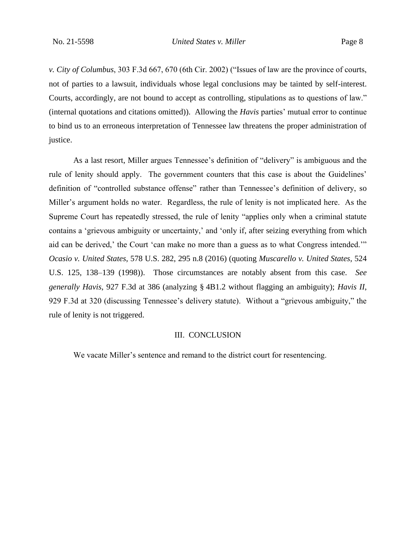*v. City of Columbus*, 303 F.3d 667, 670 (6th Cir. 2002) ("Issues of law are the province of courts, not of parties to a lawsuit, individuals whose legal conclusions may be tainted by self-interest. Courts, accordingly, are not bound to accept as controlling, stipulations as to questions of law." (internal quotations and citations omitted)). Allowing the *Havis* parties' mutual error to continue to bind us to an erroneous interpretation of Tennessee law threatens the proper administration of justice.

As a last resort, Miller argues Tennessee's definition of "delivery" is ambiguous and the rule of lenity should apply. The government counters that this case is about the Guidelines' definition of "controlled substance offense" rather than Tennessee's definition of delivery, so Miller's argument holds no water. Regardless, the rule of lenity is not implicated here. As the Supreme Court has repeatedly stressed, the rule of lenity "applies only when a criminal statute contains a 'grievous ambiguity or uncertainty,' and 'only if, after seizing everything from which aid can be derived,' the Court 'can make no more than a guess as to what Congress intended.'" *Ocasio v. United States*, 578 U.S. 282, 295 n.8 (2016) (quoting *Muscarello v. United States*, 524 U.S. 125, 138–139 (1998)). Those circumstances are notably absent from this case. *See generally Havis*, 927 F.3d at 386 (analyzing § 4B1.2 without flagging an ambiguity); *Havis II*, 929 F.3d at 320 (discussing Tennessee's delivery statute). Without a "grievous ambiguity," the rule of lenity is not triggered.

#### III. CONCLUSION

We vacate Miller's sentence and remand to the district court for resentencing.